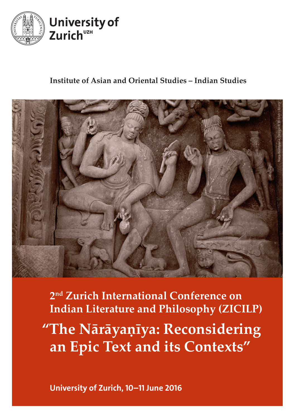

## **Institute of Asian and Oriental Studies – Indian Studies**



**2nd Zurich International Conference on Indian Literature and Philosophy (ZICILP) "The Nārāyaṇīya: Reconsidering an Epic Text and its Contexts"**

University of Zurich, 10–11 June 2016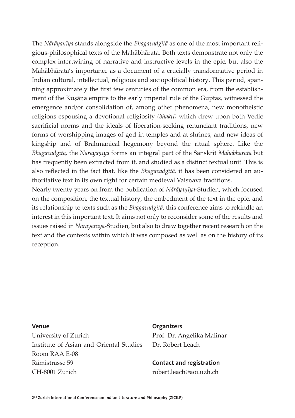The *Nārāyaṇīya* stands alongside the *Bhagavadgītā* as one of the most important religious-philosophical texts of the Mahābhārata. Both texts demonstrate not only the complex intertwining of narrative and instructive levels in the epic, but also the Mahābhārata's importance as a document of a crucially transformative period in Indian cultural, intellectual, religious and sociopolitical history. This period, spanning approximately the first few centuries of the common era, from the establishment of the Kuṣāṇa empire to the early imperial rule of the Guptas, witnessed the emergence and/or consolidation of, among other phenomena, new monotheistic religions espousing a devotional religiosity *(bhakti)* which drew upon both Vedic sacrificial norms and the ideals of liberation-seeking renunciant traditions, new forms of worshipping images of god in temples and at shrines, and new ideas of kingship and of Brahmanical hegemony beyond the ritual sphere. Like the *Bhagavadgītā,* the *Nārāyaṇīya* forms an integral part of the Sanskrit *Mahābhārata* but has frequently been extracted from it, and studied as a distinct textual unit. This is also reflected in the fact that, like the *Bhagavadgītā,* it has been considered an authoritative text in its own right for certain medieval Vaiṣṇava traditions.

Nearly twenty years on from the publication of *Nārāyaṇīya*-Studien, which focused on the composition, the textual history, the embedment of the text in the epic, and its relationship to texts such as the *Bhagavadgītā,* this conference aims to rekindle an interest in this important text. It aims not only to reconsider some of the results and issues raised in *Nārāyaṇīya*-Studien, but also to draw together recent research on the text and the contexts within which it was composed as well as on the history of its reception.

Venue University of Zurich Institute of Asian and Oriental Studies Room RAA E-08 Rämistrasse 59 CH-8001 Zurich

## **Organizers**

Prof. Dr. Angelika Malinar Dr. Robert Leach

Contact and registration robert.leach@aoi.uzh.ch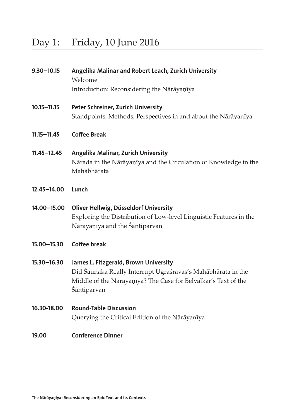## Day 1: Friday, 10 June 2016

- 9.30–10.15 Angelika Malinar and Robert Leach, Zurich University Welcome Introduction: Reconsidering the Nārāyaṇīya
- 10.15–11.15 Peter Schreiner, Zurich University Standpoints, Methods, Perspectives in and about the Nārāyaṇīya
- 11.15–11.45 Coffee Break
- 11.45–12.45 Angelika Malinar, Zurich University Nārada in the Nārāyaṇīya and the Circulation of Knowledge in the Mahābhārata
- 12.45–14.00 Lunch
- 14.00–15.00 Oliver Hellwig, Düsseldorf University Exploring the Distribution of Low-level Linguistic Features in the Nārāyaṇīya and the Śāntiparvan
- 15.00–15.30 Coffee break
- 15.30–16.30 James L. Fitzgerald, Brown University Did Śaunaka Really Interrupt Ugraśravas's Mahābhārata in the Middle of the Nārāyaṇīya? The Case for Belvalkar's Text of the Śāntiparvan
- 16.30-18.00 Round-Table Discussion Querying the Critical Edition of the Nārāyaṇīya
- 19.00 Conference Dinner